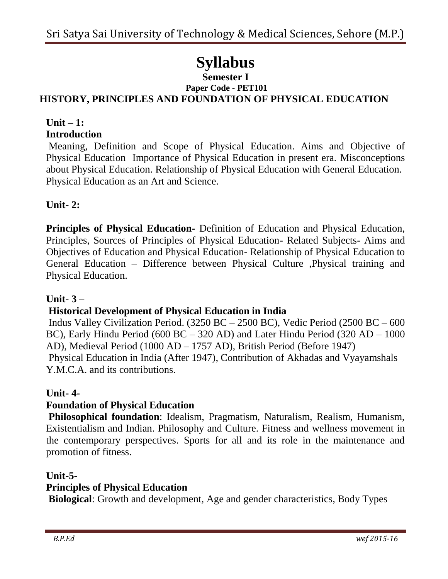# **Syllabus**

#### **Semester I Paper Code - PET101 HISTORY, PRINCIPLES AND FOUNDATION OF PHYSICAL EDUCATION**

### **Unit – 1: Introduction**

Meaning, Definition and Scope of Physical Education. Aims and Objective of Physical Education Importance of Physical Education in present era. Misconceptions about Physical Education. Relationship of Physical Education with General Education. Physical Education as an Art and Science.

# **Unit- 2:**

**Principles of Physical Education-** Definition of Education and Physical Education, Principles, Sources of Principles of Physical Education- Related Subjects- Aims and Objectives of Education and Physical Education- Relationship of Physical Education to General Education – Difference between Physical Culture ,Physical training and Physical Education.

## **Unit- 3 –**

# **Historical Development of Physical Education in India**

Indus Valley Civilization Period. (3250 BC – 2500 BC), Vedic Period (2500 BC – 600 BC), Early Hindu Period (600 BC – 320 AD) and Later Hindu Period (320 AD – 1000 AD), Medieval Period (1000 AD – 1757 AD), British Period (Before 1947) Physical Education in India (After 1947), Contribution of Akhadas and Vyayamshals Y.M.C.A. and its contributions.

## **Unit- 4-**

# **Foundation of Physical Education**

**Philosophical foundation**: Idealism, Pragmatism, Naturalism, Realism, Humanism, Existentialism and Indian. Philosophy and Culture. Fitness and wellness movement in the contemporary perspectives. Sports for all and its role in the maintenance and promotion of fitness.

## **Unit-5-**

## **Principles of Physical Education**

**Biological**: Growth and development, Age and gender characteristics, Body Types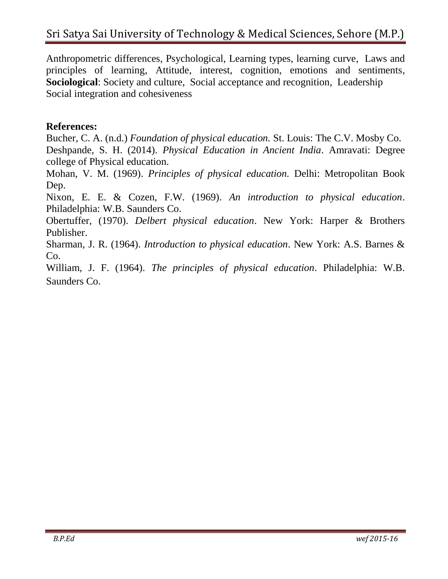Anthropometric differences, Psychological, Learning types, learning curve, Laws and principles of learning, Attitude, interest, cognition, emotions and sentiments, **Sociological**: Society and culture, Social acceptance and recognition, Leadership Social integration and cohesiveness

## **References:**

Bucher, C. A. (n.d.) *Foundation of physical education.* St. Louis: The C.V. Mosby Co. Deshpande, S. H. (2014). *Physical Education in Ancient India*. Amravati: Degree college of Physical education.

Mohan, V. M. (1969). *Principles of physical education.* Delhi: Metropolitan Book Dep.

Nixon, E. E. & Cozen, F.W. (1969). *An introduction to physical education*. Philadelphia: W.B. Saunders Co.

Obertuffer, (1970). *Delbert physical education*. New York: Harper & Brothers Publisher.

Sharman, J. R. (1964). *Introduction to physical education*. New York: A.S. Barnes & Co.

William, J. F. (1964). *The principles of physical education*. Philadelphia: W.B. Saunders Co.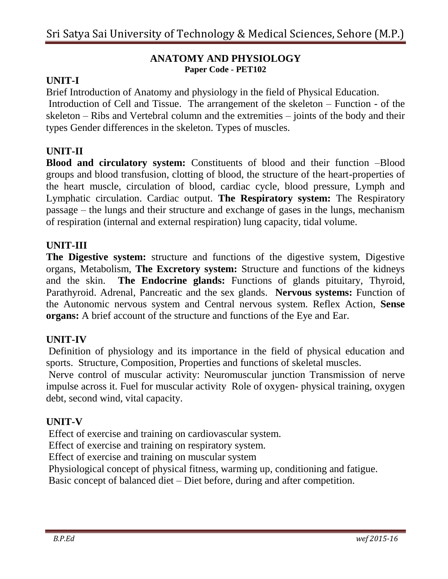#### **ANATOMY AND PHYSIOLOGY Paper Code - PET102**

## **UNIT-I**

Brief Introduction of Anatomy and physiology in the field of Physical Education. Introduction of Cell and Tissue. The arrangement of the skeleton – Function - of the skeleton – Ribs and Vertebral column and the extremities – joints of the body and their types Gender differences in the skeleton. Types of muscles.

## **UNIT-II**

**Blood and circulatory system:** Constituents of blood and their function –Blood groups and blood transfusion, clotting of blood, the structure of the heart-properties of the heart muscle, circulation of blood, cardiac cycle, blood pressure, Lymph and Lymphatic circulation. Cardiac output. **The Respiratory system:** The Respiratory passage – the lungs and their structure and exchange of gases in the lungs, mechanism of respiration (internal and external respiration) lung capacity, tidal volume.

#### **UNIT-III**

**The Digestive system:** structure and functions of the digestive system, Digestive organs, Metabolism, **The Excretory system:** Structure and functions of the kidneys and the skin. **The Endocrine glands:** Functions of glands pituitary, Thyroid, Parathyroid. Adrenal, Pancreatic and the sex glands. **Nervous systems:** Function of the Autonomic nervous system and Central nervous system. Reflex Action, **Sense organs:** A brief account of the structure and functions of the Eye and Ear.

#### **UNIT-IV**

Definition of physiology and its importance in the field of physical education and sports. Structure, Composition, Properties and functions of skeletal muscles.

Nerve control of muscular activity: Neuromuscular junction Transmission of nerve impulse across it. Fuel for muscular activity Role of oxygen- physical training, oxygen debt, second wind, vital capacity.

#### **UNIT-V**

Effect of exercise and training on cardiovascular system.

Effect of exercise and training on respiratory system.

Effect of exercise and training on muscular system

Physiological concept of physical fitness, warming up, conditioning and fatigue.

Basic concept of balanced diet – Diet before, during and after competition.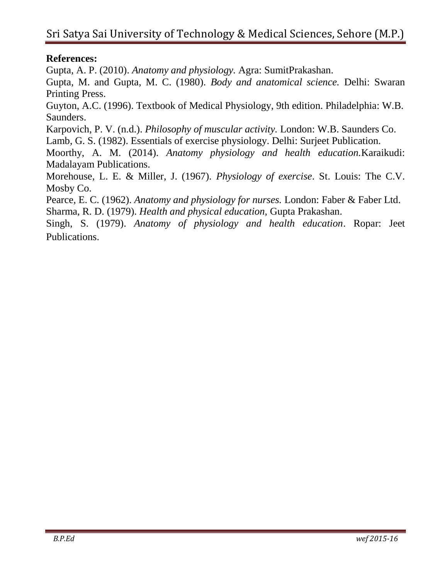## **References:**

Gupta, A. P. (2010). *Anatomy and physiology.* Agra: SumitPrakashan.

Gupta, M. and Gupta, M. C. (1980). *Body and anatomical science.* Delhi: Swaran Printing Press.

Guyton, A.C. (1996). Textbook of Medical Physiology, 9th edition. Philadelphia: W.B. Saunders.

Karpovich, P. V. (n.d.). *Philosophy of muscular activity.* London: W.B. Saunders Co. Lamb, G. S. (1982). Essentials of exercise physiology. Delhi: Surjeet Publication.

Moorthy, A. M. (2014). *Anatomy physiology and health education.*Karaikudi: Madalayam Publications.

Morehouse, L. E. & Miller, J. (1967). *Physiology of exercise*. St. Louis: The C.V. Mosby Co.

Pearce, E. C. (1962). *Anatomy and physiology for nurses.* London: Faber & Faber Ltd. Sharma, R. D. (1979). *Health and physical education,* Gupta Prakashan.

Singh, S. (1979). *Anatomy of physiology and health education*. Ropar: Jeet Publications.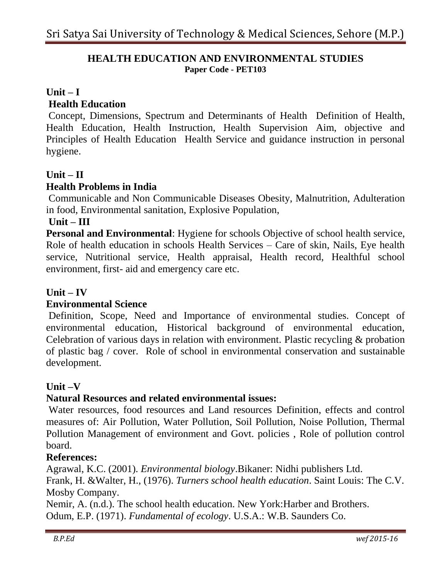#### **HEALTH EDUCATION AND ENVIRONMENTAL STUDIES Paper Code - PET103**

## **Unit – I**

#### **Health Education**

Concept, Dimensions, Spectrum and Determinants of Health Definition of Health, Health Education, Health Instruction, Health Supervision Aim, objective and Principles of Health Education Health Service and guidance instruction in personal hygiene.

## **Unit – II**

## **Health Problems in India**

Communicable and Non Communicable Diseases Obesity, Malnutrition, Adulteration in food, Environmental sanitation, Explosive Population,

#### **Unit – III**

**Personal and Environmental**: Hygiene for schools Objective of school health service, Role of health education in schools Health Services – Care of skin, Nails, Eye health service, Nutritional service, Health appraisal, Health record, Healthful school environment, first- aid and emergency care etc.

#### **Unit – IV**

#### **Environmental Science**

Definition, Scope, Need and Importance of environmental studies. Concept of environmental education, Historical background of environmental education, Celebration of various days in relation with environment. Plastic recycling & probation of plastic bag / cover. Role of school in environmental conservation and sustainable development.

#### **Unit –V**

#### **Natural Resources and related environmental issues:**

Water resources, food resources and Land resources Definition, effects and control measures of: Air Pollution, Water Pollution, Soil Pollution, Noise Pollution, Thermal Pollution Management of environment and Govt. policies , Role of pollution control board.

#### **References:**

Agrawal, K.C. (2001). *Environmental biology*.Bikaner: Nidhi publishers Ltd. Frank, H. &Walter, H., (1976). *Turners school health education*. Saint Louis: The C.V. Mosby Company.

Nemir, A. (n.d.). The school health education. New York:Harber and Brothers. Odum, E.P. (1971). *Fundamental of ecology*. U.S.A.: W.B. Saunders Co.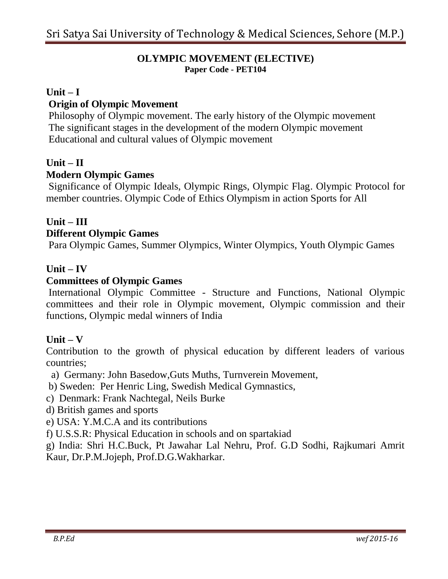#### **OLYMPIC MOVEMENT (ELECTIVE) Paper Code - PET104**

#### **Unit – I**

## **Origin of Olympic Movement**

Philosophy of Olympic movement. The early history of the Olympic movement The significant stages in the development of the modern Olympic movement Educational and cultural values of Olympic movement

## **Unit – II**

#### **Modern Olympic Games**

Significance of Olympic Ideals, Olympic Rings, Olympic Flag. Olympic Protocol for member countries. Olympic Code of Ethics Olympism in action Sports for All

## **Unit – III Different Olympic Games**

Para Olympic Games, Summer Olympics, Winter Olympics, Youth Olympic Games

#### **Unit – IV**

#### **Committees of Olympic Games**

International Olympic Committee - Structure and Functions, National Olympic committees and their role in Olympic movement, Olympic commission and their functions, Olympic medal winners of India

#### **Unit – V**

Contribution to the growth of physical education by different leaders of various countries;

- a) Germany: John Basedow,Guts Muths, Turnverein Movement,
- b) Sweden: Per Henric Ling, Swedish Medical Gymnastics,
- c) Denmark: Frank Nachtegal, Neils Burke
- d) British games and sports
- e) USA: Y.M.C.A and its contributions
- f) U.S.S.R: Physical Education in schools and on spartakiad

g) India: Shri H.C.Buck, Pt Jawahar Lal Nehru, Prof. G.D Sodhi, Rajkumari Amrit Kaur, Dr.P.M.Jojeph, Prof.D.G.Wakharkar.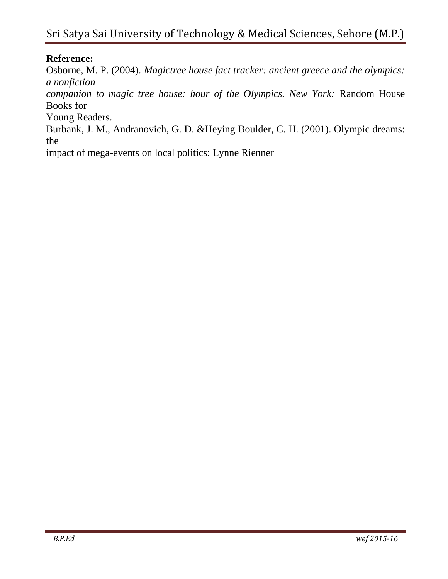# Sri Satya Sai University of Technology & Medical Sciences, Sehore (M.P.)

## **Reference:**

Osborne, M. P. (2004). *Magictree house fact tracker: ancient greece and the olympics: a nonfiction*

*companion to magic tree house: hour of the Olympics. New York:* Random House Books for

Young Readers.

Burbank, J. M., Andranovich, G. D. &Heying Boulder, C. H. (2001). Olympic dreams: the

impact of mega-events on local politics: Lynne Rienner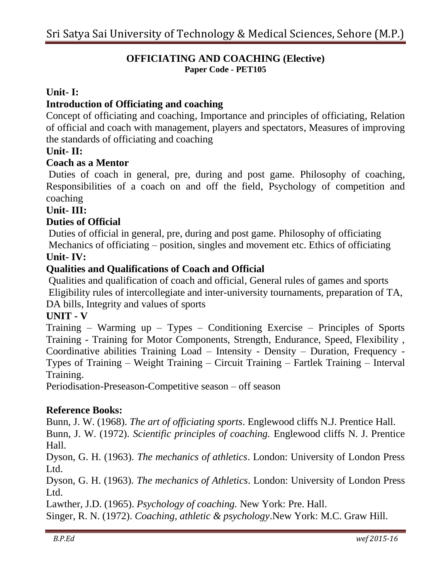#### **OFFICIATING AND COACHING (Elective) Paper Code - PET105**

## **Unit- I:**

## **Introduction of Officiating and coaching**

Concept of officiating and coaching, Importance and principles of officiating, Relation of official and coach with management, players and spectators, Measures of improving the standards of officiating and coaching

#### **Unit- II:**

#### **Coach as a Mentor**

Duties of coach in general, pre, during and post game. Philosophy of coaching, Responsibilities of a coach on and off the field, Psychology of competition and coaching

#### **Unit- III:**

#### **Duties of Official**

Duties of official in general, pre, during and post game. Philosophy of officiating Mechanics of officiating – position, singles and movement etc. Ethics of officiating

#### **Unit- IV:**

#### **Qualities and Qualifications of Coach and Official**

Qualities and qualification of coach and official, General rules of games and sports Eligibility rules of intercollegiate and inter-university tournaments, preparation of TA, DA bills, Integrity and values of sports

#### **UNIT - V**

Training – Warming up – Types – Conditioning Exercise – Principles of Sports Training - Training for Motor Components, Strength, Endurance, Speed, Flexibility , Coordinative abilities Training Load – Intensity - Density – Duration, Frequency - Types of Training – Weight Training – Circuit Training – Fartlek Training – Interval Training.

Periodisation-Preseason-Competitive season – off season

#### **Reference Books:**

Bunn, J. W. (1968). *The art of officiating sports*. Englewood cliffs N.J. Prentice Hall. Bunn, J. W. (1972). *Scientific principles of coaching.* Englewood cliffs N. J. Prentice Hall.

Dyson, G. H. (1963). *The mechanics of athletics*. London: University of London Press Ltd.

Dyson, G. H. (1963). *The mechanics of Athletics*. London: University of London Press Ltd.

Lawther, J.D. (1965). *Psychology of coaching.* New York: Pre. Hall.

Singer, R. N. (1972). *Coaching, athletic & psychology*.New York: M.C. Graw Hill.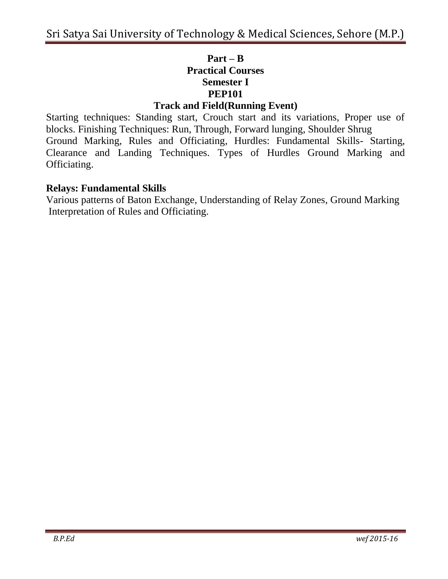# **Part – B Practical Courses Semester I PEP101**

## **Track and Field(Running Event)**

Starting techniques: Standing start, Crouch start and its variations, Proper use of blocks. Finishing Techniques: Run, Through, Forward lunging, Shoulder Shrug Ground Marking, Rules and Officiating, Hurdles: Fundamental Skills- Starting, Clearance and Landing Techniques. Types of Hurdles Ground Marking and Officiating.

## **Relays: Fundamental Skills**

Various patterns of Baton Exchange, Understanding of Relay Zones, Ground Marking Interpretation of Rules and Officiating.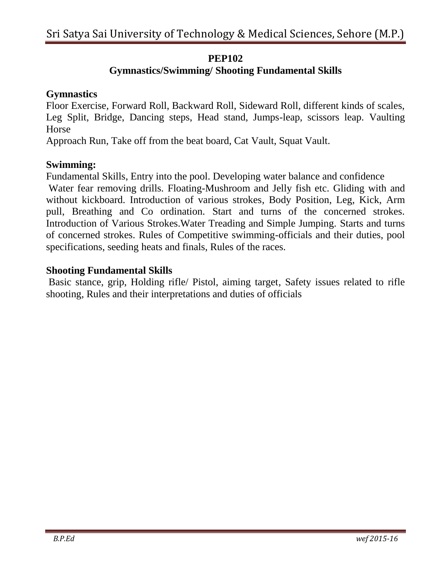## **PEP102**

# **Gymnastics/Swimming/ Shooting Fundamental Skills**

## **Gymnastics**

Floor Exercise, Forward Roll, Backward Roll, Sideward Roll, different kinds of scales, Leg Split, Bridge, Dancing steps, Head stand, Jumps-leap, scissors leap. Vaulting Horse

Approach Run, Take off from the beat board, Cat Vault, Squat Vault.

## **Swimming:**

Fundamental Skills, Entry into the pool. Developing water balance and confidence

Water fear removing drills. Floating-Mushroom and Jelly fish etc. Gliding with and without kickboard. Introduction of various strokes, Body Position, Leg, Kick, Arm pull, Breathing and Co ordination. Start and turns of the concerned strokes. Introduction of Various Strokes.Water Treading and Simple Jumping. Starts and turns of concerned strokes. Rules of Competitive swimming-officials and their duties, pool specifications, seeding heats and finals, Rules of the races.

## **Shooting Fundamental Skills**

Basic stance, grip, Holding rifle/ Pistol, aiming target, Safety issues related to rifle shooting, Rules and their interpretations and duties of officials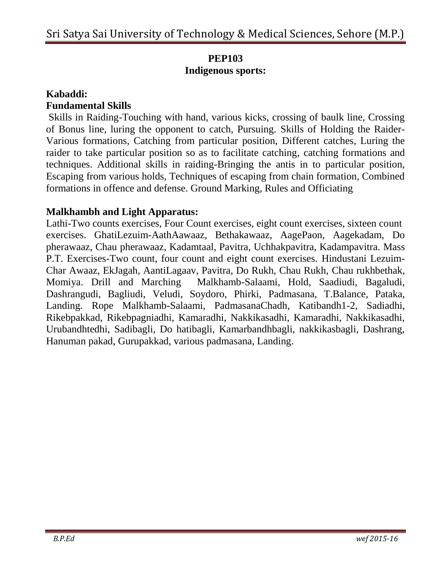# **PEP103 Indigenous sports:**

## **Kabaddi:**

## **Fundamental Skills**

Skills in Raiding-Touching with hand, various kicks, crossing of baulk line, Crossing of Bonus line, luring the opponent to catch, Pursuing. Skills of Holding the Raider-Various formations, Catching from particular position, Different catches, Luring the raider to take particular position so as to facilitate catching, catching formations and techniques. Additional skills in raiding-Bringing the antis in to particular position, Escaping from various holds, Techniques of escaping from chain formation, Combined formations in offence and defense. Ground Marking, Rules and Officiating

## **Malkhambh and Light Apparatus:**

Lathi-Two counts exercises, Four Count exercises, eight count exercises, sixteen count exercises. GhatiLezuim-AathAawaaz, Bethakawaaz, AagePaon, Aagekadam, Do pherawaaz, Chau pherawaaz, Kadamtaal, Pavitra, Uchhakpavitra, Kadampavitra. Mass P.T. Exercises-Two count, four count and eight count exercises. Hindustani Lezuim-Char Awaaz, EkJagah, AantiLagaav, Pavitra, Do Rukh, Chau Rukh, Chau rukhbethak, Momiya. Drill and Marching Malkhamb-Salaami, Hold, Saadiudi, Bagaludi, Dashrangudi, Bagliudi, Veludi, Soydoro, Phirki, Padmasana, T.Balance, Pataka, Landing. Rope Malkhamb-Salaami, PadmasanaChadh, Katibandh1-2, Sadiadhi, Rikebpakkad, Rikebpagniadhi, Kamaradhi, Nakkikasadhi, Kamaradhi, Nakkikasadhi, Urubandhtedhi, Sadibagli, Do hatibagli, Kamarbandhbagli, nakkikasbagli, Dashrang, Hanuman pakad, Gurupakkad, various padmasana, Landing.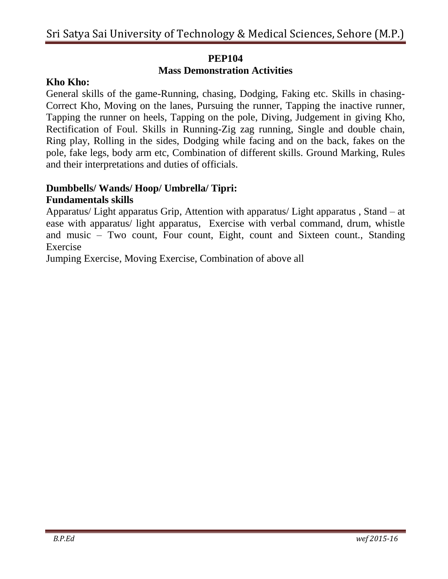## **PEP104**

## **Mass Demonstration Activities**

## **Kho Kho:**

General skills of the game-Running, chasing, Dodging, Faking etc. Skills in chasing-Correct Kho, Moving on the lanes, Pursuing the runner, Tapping the inactive runner, Tapping the runner on heels, Tapping on the pole, Diving, Judgement in giving Kho, Rectification of Foul. Skills in Running-Zig zag running, Single and double chain, Ring play, Rolling in the sides, Dodging while facing and on the back, fakes on the pole, fake legs, body arm etc, Combination of different skills. Ground Marking, Rules and their interpretations and duties of officials.

#### **Dumbbells/ Wands/ Hoop/ Umbrella/ Tipri: Fundamentals skills**

Apparatus/ Light apparatus Grip, Attention with apparatus/ Light apparatus , Stand – at ease with apparatus/ light apparatus, Exercise with verbal command, drum, whistle and music – Two count, Four count, Eight, count and Sixteen count., Standing Exercise

Jumping Exercise, Moving Exercise, Combination of above all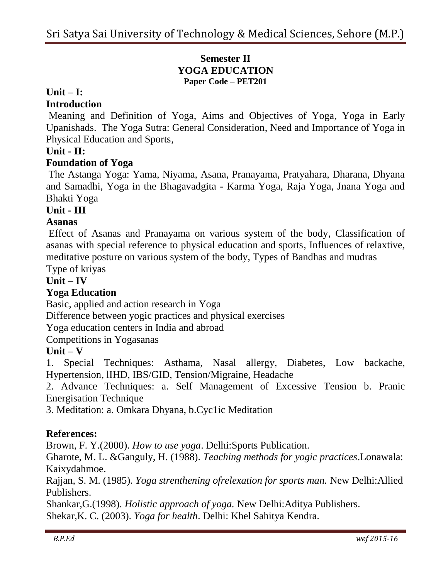## **Semester II YOGA EDUCATION Paper Code – PET201**

#### **Unit – I:**

### **Introduction**

Meaning and Definition of Yoga, Aims and Objectives of Yoga, Yoga in Early Upanishads. The Yoga Sutra: General Consideration, Need and Importance of Yoga in Physical Education and Sports,

## **Unit - II:**

## **Foundation of Yoga**

The Astanga Yoga: Yama, Niyama, Asana, Pranayama, Pratyahara, Dharana, Dhyana and Samadhi, Yoga in the Bhagavadgita - Karma Yoga, Raja Yoga, Jnana Yoga and Bhakti Yoga

#### **Unit - III**

#### **Asanas**

Effect of Asanas and Pranayama on various system of the body, Classification of asanas with special reference to physical education and sports, Influences of relaxtive, meditative posture on various system of the body, Types of Bandhas and mudras

Type of kriyas

## **Unit – IV**

## **Yoga Education**

Basic, applied and action research in Yoga

Difference between yogic practices and physical exercises

Yoga education centers in India and abroad

Competitions in Yogasanas

#### **Unit – V**

1. Special Techniques: Asthama, Nasal allergy, Diabetes, Low backache, Hypertension, lIHD, IBS/GID, Tension/Migraine, Headache

2. Advance Techniques: a. Self Management of Excessive Tension b. Pranic Energisation Technique

3. Meditation: a. Omkara Dhyana, b.Cyc1ic Meditation

## **References:**

Brown, F. Y.(2000). *How to use yoga*. Delhi:Sports Publication.

Gharote, M. L. &Ganguly, H. (1988). *Teaching methods for yogic practices*.Lonawala: Kaixydahmoe.

Rajjan, S. M. (1985). *Yoga strenthening ofrelexation for sports man.* New Delhi:Allied Publishers.

Shankar,G.(1998). *Holistic approach of yoga.* New Delhi:Aditya Publishers. Shekar,K. C. (2003). *Yoga for health*. Delhi: Khel Sahitya Kendra.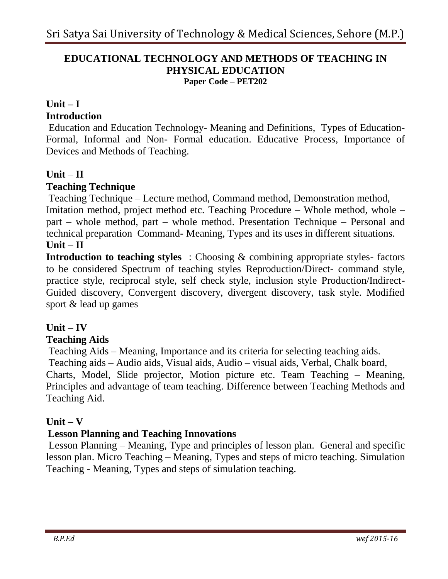#### **EDUCATIONAL TECHNOLOGY AND METHODS OF TEACHING IN PHYSICAL EDUCATION Paper Code – PET202**

# **Unit – I**

# **Introduction**

Education and Education Technology- Meaning and Definitions, Types of Education-Formal, Informal and Non- Formal education. Educative Process, Importance of Devices and Methods of Teaching.

## **Unit** – **II**

## **Teaching Technique**

Teaching Technique – Lecture method, Command method, Demonstration method, Imitation method, project method etc. Teaching Procedure – Whole method, whole – part – whole method, part – whole method. Presentation Technique – Personal and technical preparation Command- Meaning, Types and its uses in different situations.  $Unit - II$ 

**Introduction to teaching styles** : Choosing & combining appropriate styles- factors to be considered Spectrum of teaching styles Reproduction/Direct- command style, practice style, reciprocal style, self check style, inclusion style Production/Indirect-Guided discovery, Convergent discovery, divergent discovery, task style. Modified sport & lead up games

## **Unit – IV**

## **Teaching Aids**

Teaching Aids – Meaning, Importance and its criteria for selecting teaching aids. Teaching aids – Audio aids, Visual aids, Audio – visual aids, Verbal, Chalk board, Charts, Model, Slide projector, Motion picture etc. Team Teaching – Meaning, Principles and advantage of team teaching. Difference between Teaching Methods and Teaching Aid.

## **Unit – V**

## **Lesson Planning and Teaching Innovations**

Lesson Planning – Meaning, Type and principles of lesson plan. General and specific lesson plan. Micro Teaching – Meaning, Types and steps of micro teaching. Simulation Teaching - Meaning, Types and steps of simulation teaching.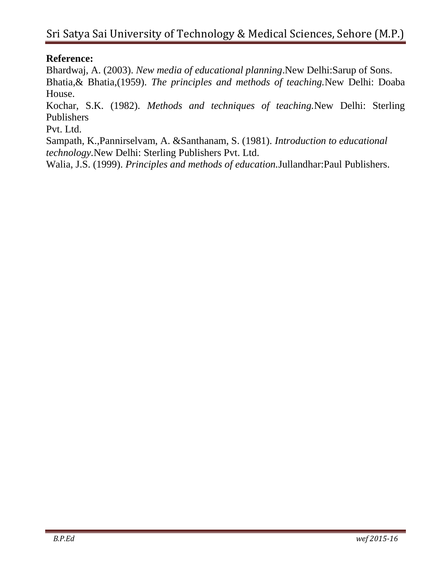# **Reference:**

Bhardwaj, A. (2003). *New media of educational planning*.New Delhi:Sarup of Sons. Bhatia,& Bhatia,(1959). *The principles and methods of teaching.*New Delhi: Doaba House.

Kochar, S.K. (1982). *Methods and techniques of teaching.*New Delhi: Sterling Publishers

Pvt. Ltd.

Sampath, K.,Pannirselvam, A. &Santhanam, S. (1981). *Introduction to educational technology.*New Delhi: Sterling Publishers Pvt. Ltd.

Walia, J.S. (1999). *Principles and methods of education.*Jullandhar:Paul Publishers.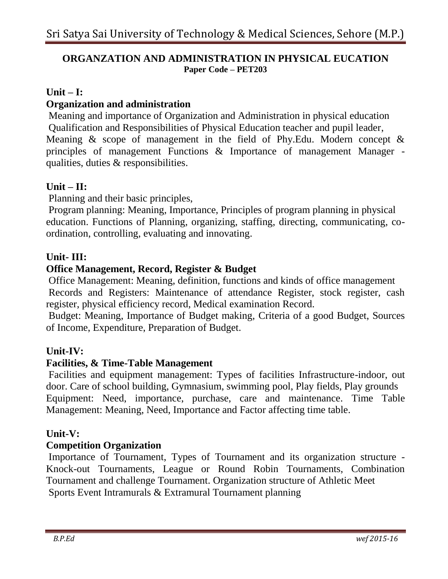## **ORGANZATION AND ADMINISTRATION IN PHYSICAL EUCATION Paper Code – PET203**

## **Unit – I:**

## **Organization and administration**

Meaning and importance of Organization and Administration in physical education Qualification and Responsibilities of Physical Education teacher and pupil leader, Meaning  $\&$  scope of management in the field of Phy. Edu. Modern concept  $\&$ principles of management Functions & Importance of management Manager qualities, duties & responsibilities.

## **Unit – II:**

Planning and their basic principles,

Program planning: Meaning, Importance, Principles of program planning in physical education. Functions of Planning, organizing, staffing, directing, communicating, coordination, controlling, evaluating and innovating.

#### **Unit- III:**

## **Office Management, Record, Register & Budget**

Office Management: Meaning, definition, functions and kinds of office management Records and Registers: Maintenance of attendance Register, stock register, cash register, physical efficiency record, Medical examination Record.

Budget: Meaning, Importance of Budget making, Criteria of a good Budget, Sources of Income, Expenditure, Preparation of Budget.

## **Unit-IV:**

#### **Facilities, & Time-Table Management**

Facilities and equipment management: Types of facilities Infrastructure-indoor, out door. Care of school building, Gymnasium, swimming pool, Play fields, Play grounds Equipment: Need, importance, purchase, care and maintenance. Time Table Management: Meaning, Need, Importance and Factor affecting time table.

#### **Unit-V:**

#### **Competition Organization**

Importance of Tournament, Types of Tournament and its organization structure - Knock-out Tournaments, League or Round Robin Tournaments, Combination Tournament and challenge Tournament. Organization structure of Athletic Meet Sports Event Intramurals & Extramural Tournament planning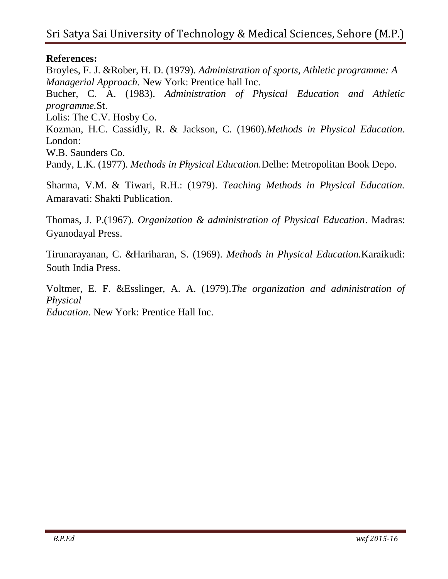## **References:**

Broyles, F. J. &Rober, H. D. (1979). *Administration of sports, Athletic programme: A Managerial Approach.* New York: Prentice hall Inc. Bucher, C. A. (1983). *Administration of Physical Education and Athletic programme.*St. Lolis: The C.V. Hosby Co. Kozman, H.C. Cassidly, R. & Jackson, C. (1960).*Methods in Physical Education*. London: W.B. Saunders Co. Pandy, L.K. (1977). *Methods in Physical Education.*Delhe: Metropolitan Book Depo.

Sharma, V.M. & Tiwari, R.H.: (1979). *Teaching Methods in Physical Education.*  Amaravati: Shakti Publication.

Thomas, J. P.(1967). *Organization & administration of Physical Education*. Madras: Gyanodayal Press.

Tirunarayanan, C. &Hariharan, S. (1969). *Methods in Physical Education.*Karaikudi: South India Press.

Voltmer, E. F. &Esslinger, A. A. (1979).*The organization and administration of Physical*

*Education.* New York: Prentice Hall Inc.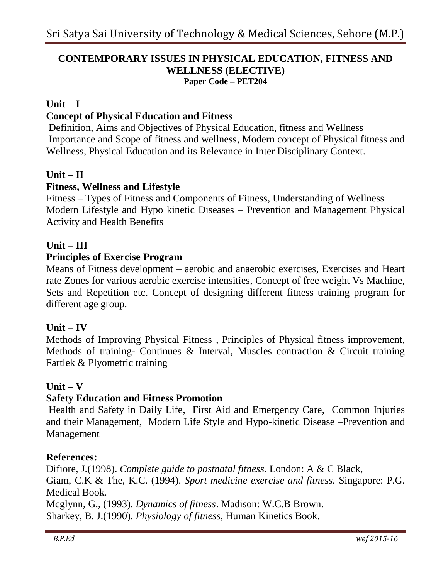#### **CONTEMPORARY ISSUES IN PHYSICAL EDUCATION, FITNESS AND WELLNESS (ELECTIVE) Paper Code – PET204**

#### **Unit – I**

#### **Concept of Physical Education and Fitness**

Definition, Aims and Objectives of Physical Education, fitness and Wellness Importance and Scope of fitness and wellness, Modern concept of Physical fitness and Wellness, Physical Education and its Relevance in Inter Disciplinary Context.

#### **Unit – II**

## **Fitness, Wellness and Lifestyle**

Fitness – Types of Fitness and Components of Fitness, Understanding of Wellness Modern Lifestyle and Hypo kinetic Diseases – Prevention and Management Physical Activity and Health Benefits

#### **Unit – III**

#### **Principles of Exercise Program**

Means of Fitness development – aerobic and anaerobic exercises, Exercises and Heart rate Zones for various aerobic exercise intensities, Concept of free weight Vs Machine, Sets and Repetition etc. Concept of designing different fitness training program for different age group.

#### **Unit – IV**

Methods of Improving Physical Fitness , Principles of Physical fitness improvement, Methods of training- Continues & Interval, Muscles contraction & Circuit training Fartlek & Plyometric training

#### **Unit – V**

#### **Safety Education and Fitness Promotion**

Health and Safety in Daily Life, First Aid and Emergency Care, Common Injuries and their Management, Modern Life Style and Hypo-kinetic Disease –Prevention and Management

#### **References:**

Difiore, J.(1998). *Complete guide to postnatal fitness.* London: A & C Black, Giam, C.K & The, K.C. (1994). *Sport medicine exercise and fitness.* Singapore: P.G. Medical Book.

Mcglynn, G., (1993). *Dynamics of fitness*. Madison: W.C.B Brown. Sharkey, B. J.(1990). *Physiology of fitness*, Human Kinetics Book.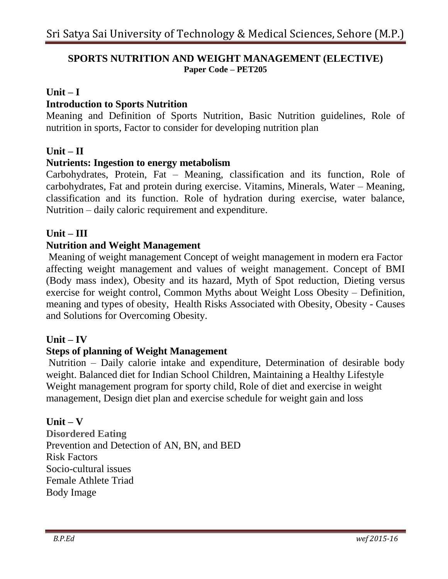### **SPORTS NUTRITION AND WEIGHT MANAGEMENT (ELECTIVE) Paper Code – PET205**

#### **Unit – I**

### **Introduction to Sports Nutrition**

Meaning and Definition of Sports Nutrition, Basic Nutrition guidelines, Role of nutrition in sports, Factor to consider for developing nutrition plan

#### **Unit – II**

#### **Nutrients: Ingestion to energy metabolism**

Carbohydrates, Protein, Fat – Meaning, classification and its function, Role of carbohydrates, Fat and protein during exercise. Vitamins, Minerals, Water – Meaning, classification and its function. Role of hydration during exercise, water balance, Nutrition – daily caloric requirement and expenditure.

#### **Unit – III**

#### **Nutrition and Weight Management**

Meaning of weight management Concept of weight management in modern era Factor affecting weight management and values of weight management. Concept of BMI (Body mass index), Obesity and its hazard, Myth of Spot reduction, Dieting versus exercise for weight control, Common Myths about Weight Loss Obesity – Definition, meaning and types of obesity, Health Risks Associated with Obesity, Obesity - Causes and Solutions for Overcoming Obesity.

#### **Unit – IV**

#### **Steps of planning of Weight Management**

Nutrition – Daily calorie intake and expenditure, Determination of desirable body weight. Balanced diet for Indian School Children, Maintaining a Healthy Lifestyle Weight management program for sporty child, Role of diet and exercise in weight management, Design diet plan and exercise schedule for weight gain and loss

#### **Unit – V**

**Disordered Eating**  Prevention and Detection of AN, BN, and BED Risk Factors Socio-cultural issues Female Athlete Triad Body Image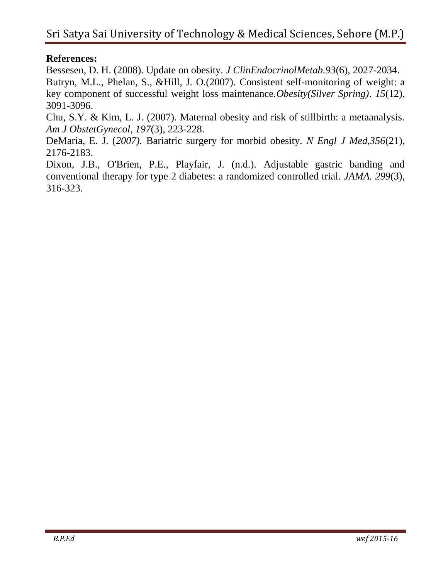## **References:**

Bessesen, D. H. (2008). Update on obesity. *J ClinEndocrinolMetab.93*(6), 2027-2034. Butryn, M.L., Phelan, S., &Hill, J. O.(2007). Consistent self-monitoring of weight: a key component of successful weight loss maintenance.*Obesity(Silver Spring)*. *15*(12), 3091-3096.

Chu, S.Y. & Kim, L. J. (2007). Maternal obesity and risk of stillbirth: a metaanalysis. *Am J ObstetGynecol*, *197*(3), 223-228.

DeMaria, E. J. (*2007).* Bariatric surgery for morbid obesity. *N Engl J Med,356*(21), 2176-2183.

Dixon, J.B., O'Brien, P.E., Playfair, J. (n.d.). Adjustable gastric banding and conventional therapy for type 2 diabetes: a randomized controlled trial. *JAMA. 299*(3), 316-323.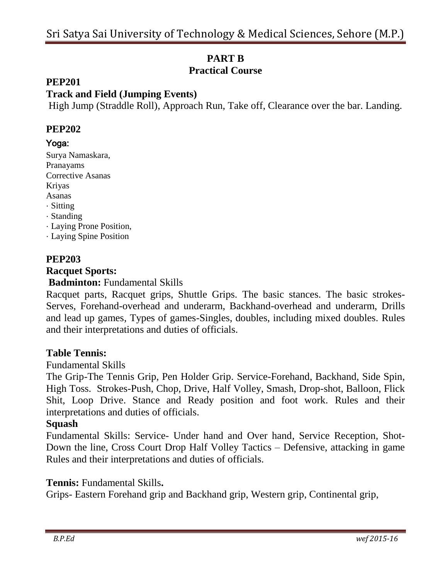# **PART B Practical Course**

### **PEP201**

## **Track and Field (Jumping Events)**

High Jump (Straddle Roll), Approach Run, Take off, Clearance over the bar. Landing.

#### **PEP202**

#### Yoga:

Surya Namaskara, Pranayams Corrective Asanas Kriyas Asanas · Sitting · Standing · Laying Prone Position, · Laying Spine Position

## **PEP203**

#### **Racquet Sports:**

#### **Badminton:** Fundamental Skills

Racquet parts, Racquet grips, Shuttle Grips. The basic stances. The basic strokes-Serves, Forehand-overhead and underarm, Backhand-overhead and underarm, Drills and lead up games, Types of games-Singles, doubles, including mixed doubles. Rules and their interpretations and duties of officials.

#### **Table Tennis:**

#### Fundamental Skills

The Grip-The Tennis Grip, Pen Holder Grip. Service-Forehand, Backhand, Side Spin, High Toss. Strokes-Push, Chop, Drive, Half Volley, Smash, Drop-shot, Balloon, Flick Shit, Loop Drive. Stance and Ready position and foot work. Rules and their interpretations and duties of officials.

#### **Squash**

Fundamental Skills: Service- Under hand and Over hand, Service Reception, Shot-Down the line, Cross Court Drop Half Volley Tactics – Defensive, attacking in game Rules and their interpretations and duties of officials.

#### **Tennis:** Fundamental Skills**.**

Grips- Eastern Forehand grip and Backhand grip, Western grip, Continental grip,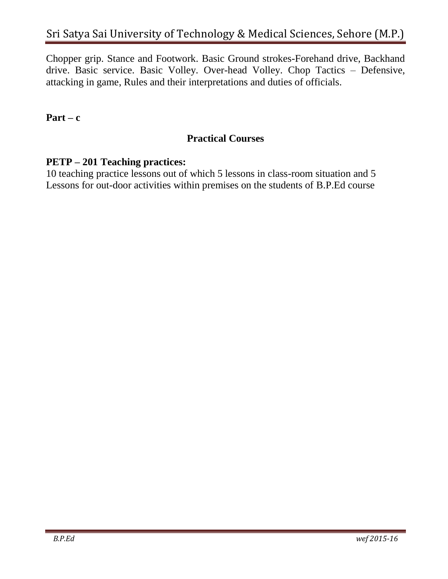Chopper grip. Stance and Footwork. Basic Ground strokes-Forehand drive, Backhand drive. Basic service. Basic Volley. Over-head Volley. Chop Tactics – Defensive, attacking in game, Rules and their interpretations and duties of officials.

## **Part – c**

## **Practical Courses**

## **PETP – 201 Teaching practices:**

10 teaching practice lessons out of which 5 lessons in class-room situation and 5 Lessons for out-door activities within premises on the students of B.P.Ed course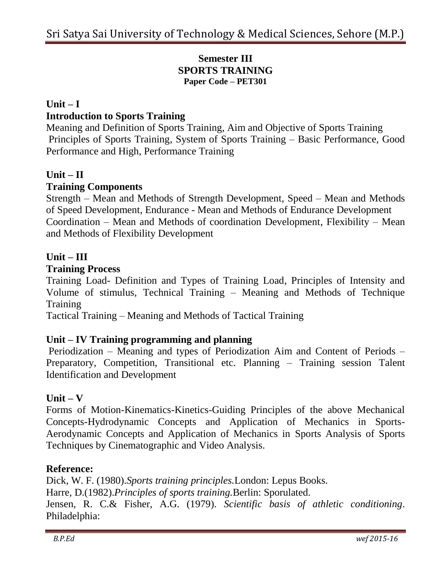## **Semester III SPORTS TRAINING Paper Code – PET301**

## **Unit – I Introduction to Sports Training**

Meaning and Definition of Sports Training, Aim and Objective of Sports Training Principles of Sports Training, System of Sports Training – Basic Performance, Good Performance and High, Performance Training

## **Unit – II**

## **Training Components**

Strength – Mean and Methods of Strength Development, Speed – Mean and Methods of Speed Development, Endurance - Mean and Methods of Endurance Development Coordination – Mean and Methods of coordination Development, Flexibility – Mean and Methods of Flexibility Development

## **Unit – III**

#### **Training Process**

Training Load- Definition and Types of Training Load, Principles of Intensity and Volume of stimulus, Technical Training – Meaning and Methods of Technique Training

Tactical Training – Meaning and Methods of Tactical Training

## **Unit – IV Training programming and planning**

Periodization – Meaning and types of Periodization Aim and Content of Periods – Preparatory, Competition, Transitional etc. Planning – Training session Talent Identification and Development

## **Unit – V**

Forms of Motion-Kinematics-Kinetics-Guiding Principles of the above Mechanical Concepts-Hydrodynamic Concepts and Application of Mechanics in Sports-Aerodynamic Concepts and Application of Mechanics in Sports Analysis of Sports Techniques by Cinematographic and Video Analysis.

#### **Reference:**

Dick, W. F. (1980).*Sports training principles.*London: Lepus Books. Harre, D.(1982).*Principles of sports training.*Berlin: Sporulated. Jensen, R. C.& Fisher, A.G. (1979). *Scientific basis of athletic conditioning*. Philadelphia: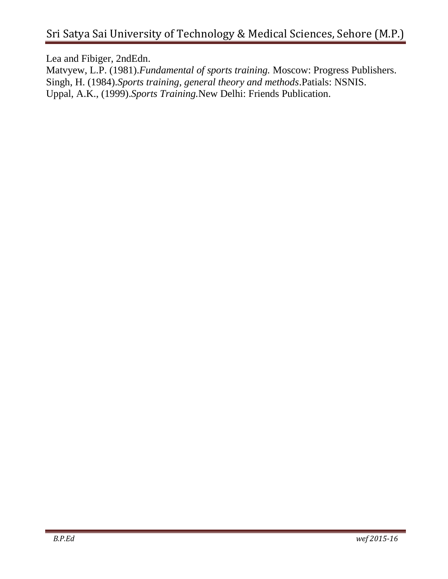Lea and Fibiger, 2ndEdn.

Matvyew, L.P. (1981).*Fundamental of sports training.* Moscow: Progress Publishers. Singh, H. (1984).*Sports training, general theory and methods*.Patials: NSNIS. Uppal, A.K., (1999).*Sports Training.*New Delhi: Friends Publication.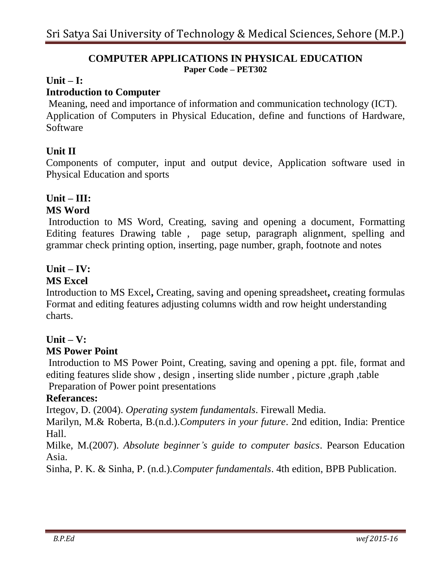#### **COMPUTER APPLICATIONS IN PHYSICAL EDUCATION Paper Code – PET302**

#### **Unit – I:**

## **Introduction to Computer**

Meaning, need and importance of information and communication technology (ICT). Application of Computers in Physical Education, define and functions of Hardware, Software

## **Unit II**

Components of computer, input and output device, Application software used in Physical Education and sports

# **Unit – III:**

## **MS Word**

Introduction to MS Word, Creating, saving and opening a document, Formatting Editing features Drawing table , page setup, paragraph alignment, spelling and grammar check printing option, inserting, page number, graph, footnote and notes

## **Unit – IV:**

## **MS Excel**

Introduction to MS Excel**,** Creating, saving and opening spreadsheet**,** creating formulas Format and editing features adjusting columns width and row height understanding charts.

## **Unit – V:**

## **MS Power Point**

Introduction to MS Power Point, Creating, saving and opening a ppt. file, format and editing features slide show , design , inserting slide number , picture ,graph ,table Preparation of Power point presentations

## **Referances:**

Irtegov, D. (2004). *Operating system fundamentals*. Firewall Media.

Marilyn, M.& Roberta, B.(n.d.).*Computers in your future*. 2nd edition, India: Prentice Hall.

Milke, M.(2007). *Absolute beginner's guide to computer basics*. Pearson Education Asia.

Sinha, P. K. & Sinha, P. (n.d.).*Computer fundamentals*. 4th edition, BPB Publication.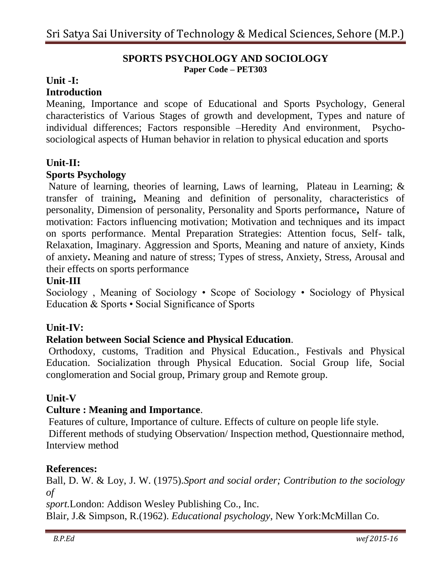#### **SPORTS PSYCHOLOGY AND SOCIOLOGY Paper Code – PET303**

## **Unit -I:**

#### **Introduction**

Meaning, Importance and scope of Educational and Sports Psychology, General characteristics of Various Stages of growth and development, Types and nature of individual differences; Factors responsible –Heredity And environment, Psychosociological aspects of Human behavior in relation to physical education and sports

#### **Unit-II:**

#### **Sports Psychology**

Nature of learning, theories of learning, Laws of learning, Plateau in Learning; & transfer of training**,** Meaning and definition of personality, characteristics of personality, Dimension of personality, Personality and Sports performance**,** Nature of motivation: Factors influencing motivation; Motivation and techniques and its impact on sports performance. Mental Preparation Strategies: Attention focus, Self- talk, Relaxation, Imaginary. Aggression and Sports, Meaning and nature of anxiety, Kinds of anxiety**.** Meaning and nature of stress; Types of stress, Anxiety, Stress, Arousal and their effects on sports performance

#### **Unit-III**

Sociology , Meaning of Sociology • Scope of Sociology • Sociology of Physical Education & Sports • Social Significance of Sports

#### **Unit-IV:**

#### **Relation between Social Science and Physical Education**.

Orthodoxy, customs, Tradition and Physical Education., Festivals and Physical Education. Socialization through Physical Education. Social Group life, Social conglomeration and Social group, Primary group and Remote group.

#### **Unit-V**

#### **Culture : Meaning and Importance**.

Features of culture, Importance of culture. Effects of culture on people life style. Different methods of studying Observation/ Inspection method, Questionnaire method, Interview method

#### **References:**

Ball, D. W. & Loy, J. W. (1975).*Sport and social order; Contribution to the sociology of*

*sport.*London: Addison Wesley Publishing Co., Inc. Blair, J.& Simpson, R.(1962). *Educational psychology*, New York:McMillan Co.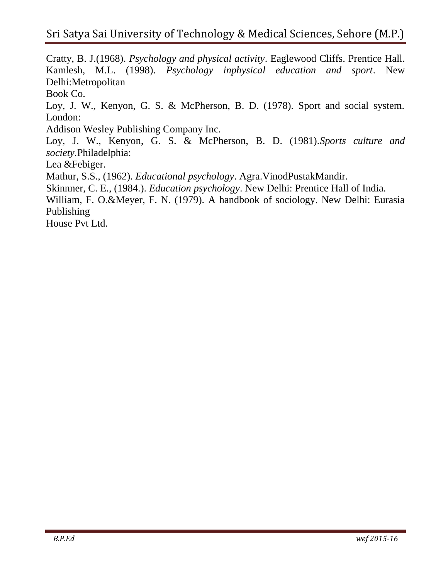Cratty, B. J.(1968). *Psychology and physical activity*. Eaglewood Cliffs. Prentice Hall. Kamlesh, M.L. (1998). *Psychology inphysical education and sport*. New Delhi:Metropolitan Book Co. Loy, J. W., Kenyon, G. S. & McPherson, B. D. (1978). Sport and social system. London: Addison Wesley Publishing Company Inc. Loy, J. W., Kenyon, G. S. & McPherson, B. D. (1981).*Sports culture and society.*Philadelphia: Lea &Febiger. Mathur, S.S., (1962). *Educational psychology*. Agra.VinodPustakMandir. Skinnner, C. E., (1984.). *Education psychology*. New Delhi: Prentice Hall of India. William, F. O.&Meyer, F. N. (1979). A handbook of sociology. New Delhi: Eurasia Publishing House Pvt Ltd.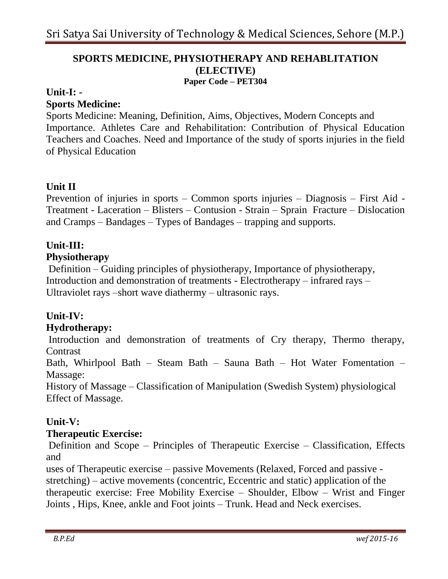#### **SPORTS MEDICINE, PHYSIOTHERAPY AND REHABLITATION (ELECTIVE) Paper Code – PET304**

#### **Unit-I: -**

#### **Sports Medicine:**

Sports Medicine: Meaning, Definition, Aims, Objectives, Modern Concepts and Importance. Athletes Care and Rehabilitation: Contribution of Physical Education Teachers and Coaches. Need and Importance of the study of sports injuries in the field of Physical Education

## **Unit II**

Prevention of injuries in sports – Common sports injuries – Diagnosis – First Aid - Treatment - Laceration – Blisters – Contusion - Strain – Sprain Fracture – Dislocation and Cramps – Bandages – Types of Bandages – trapping and supports.

## **Unit-III:**

#### **Physiotherapy**

Definition – Guiding principles of physiotherapy, Importance of physiotherapy, Introduction and demonstration of treatments - Electrotherapy – infrared rays – Ultraviolet rays –short wave diathermy – ultrasonic rays.

## **Unit-IV:**

## **Hydrotherapy:**

Introduction and demonstration of treatments of Cry therapy, Thermo therapy, **Contrast** 

Bath, Whirlpool Bath – Steam Bath – Sauna Bath – Hot Water Fomentation – Massage:

History of Massage – Classification of Manipulation (Swedish System) physiological Effect of Massage.

## **Unit-V:**

#### **Therapeutic Exercise:**

Definition and Scope – Principles of Therapeutic Exercise – Classification, Effects and

uses of Therapeutic exercise – passive Movements (Relaxed, Forced and passive stretching) – active movements (concentric, Eccentric and static) application of the therapeutic exercise: Free Mobility Exercise – Shoulder, Elbow – Wrist and Finger Joints , Hips, Knee, ankle and Foot joints – Trunk. Head and Neck exercises.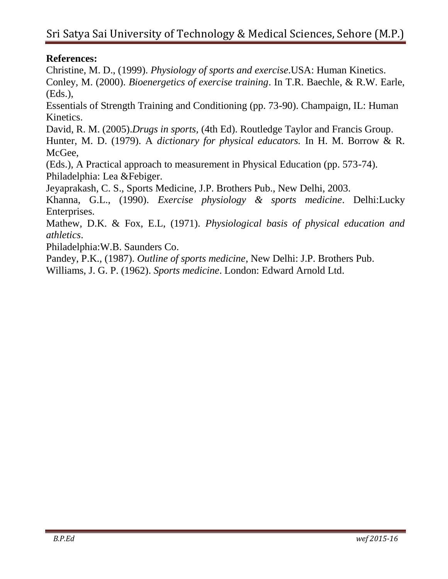## **References:**

Christine, M. D., (1999). *Physiology of sports and exercise*.USA: Human Kinetics. Conley, M. (2000). *Bioenergetics of exercise training*. In T.R. Baechle, & R.W. Earle, (Eds.),

Essentials of Strength Training and Conditioning (pp. 73-90). Champaign, IL: Human Kinetics.

David, R. M. (2005).*Drugs in sports,* (4th Ed). Routledge Taylor and Francis Group. Hunter, M. D. (1979). A *dictionary for physical educators.* In H. M. Borrow & R. McGee,

(Eds.), A Practical approach to measurement in Physical Education (pp. 573-74). Philadelphia: Lea &Febiger.

Jeyaprakash, C. S., Sports Medicine, J.P. Brothers Pub., New Delhi, 2003.

Khanna, G.L., (1990). *Exercise physiology & sports medicine*. Delhi:Lucky Enterprises.

Mathew, D.K. & Fox, E.L, (1971). *Physiological basis of physical education and athletics*.

Philadelphia:W.B. Saunders Co.

Pandey, P.K., (1987). *Outline of sports medicine*, New Delhi: J.P. Brothers Pub.

Williams, J. G. P. (1962). *Sports medicine*. London: Edward Arnold Ltd.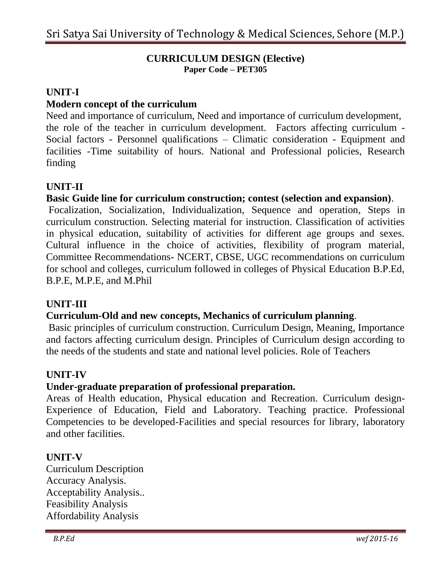#### **CURRICULUM DESIGN (Elective) Paper Code – PET305**

## **UNIT-I**

## **Modern concept of the curriculum**

Need and importance of curriculum, Need and importance of curriculum development, the role of the teacher in curriculum development. Factors affecting curriculum - Social factors - Personnel qualifications – Climatic consideration - Equipment and facilities -Time suitability of hours. National and Professional policies, Research finding

# **UNIT-II**

## **Basic Guide line for curriculum construction; contest (selection and expansion)**.

Focalization, Socialization, Individualization, Sequence and operation, Steps in curriculum construction. Selecting material for instruction. Classification of activities in physical education, suitability of activities for different age groups and sexes. Cultural influence in the choice of activities, flexibility of program material, Committee Recommendations- NCERT, CBSE, UGC recommendations on curriculum for school and colleges, curriculum followed in colleges of Physical Education B.P.Ed, B.P.E, M.P.E, and M.Phil

#### **UNIT-III**

## **Curriculum-Old and new concepts, Mechanics of curriculum planning**.

Basic principles of curriculum construction. Curriculum Design, Meaning, Importance and factors affecting curriculum design. Principles of Curriculum design according to the needs of the students and state and national level policies. Role of Teachers

## **UNIT-IV**

## **Under-graduate preparation of professional preparation.**

Areas of Health education, Physical education and Recreation. Curriculum design-Experience of Education, Field and Laboratory. Teaching practice. Professional Competencies to be developed-Facilities and special resources for library, laboratory and other facilities.

## **UNIT-V**

Curriculum Description Accuracy Analysis. Acceptability Analysis.. Feasibility Analysis Affordability Analysis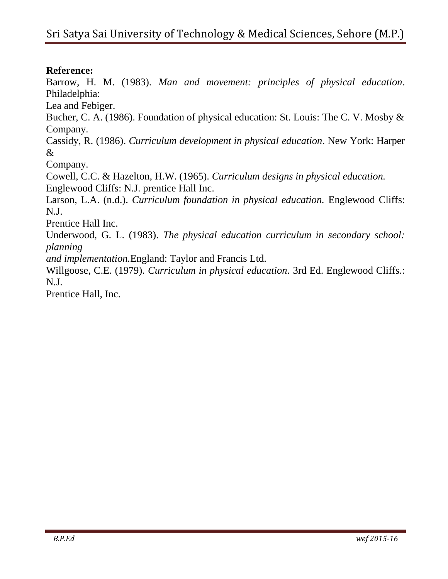## **Reference:**

Barrow, H. M. (1983). *Man and movement: principles of physical education*. Philadelphia:

Lea and Febiger.

Bucher, C. A. (1986). Foundation of physical education: St. Louis: The C. V. Mosby & Company.

Cassidy, R. (1986). *Curriculum development in physical education*. New York: Harper &

Company.

Cowell, C.C. & Hazelton, H.W. (1965). *Curriculum designs in physical education.* Englewood Cliffs: N.J. prentice Hall Inc.

Larson, L.A. (n.d.). *Curriculum foundation in physical education*. Englewood Cliffs: N.J.

Prentice Hall Inc.

Underwood, G. L. (1983). *The physical education curriculum in secondary school: planning*

*and implementation.*England: Taylor and Francis Ltd.

Willgoose, C.E. (1979). *Curriculum in physical education*. 3rd Ed. Englewood Cliffs.: N.J.

Prentice Hall, Inc.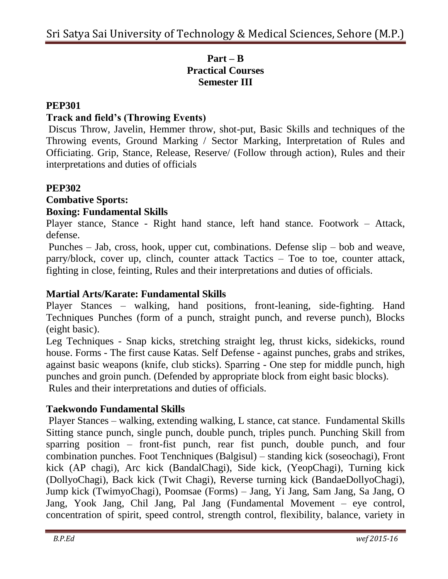## **Part – B Practical Courses Semester III**

# **PEP301**

# **Track and field's (Throwing Events)**

Discus Throw, Javelin, Hemmer throw, shot-put, Basic Skills and techniques of the Throwing events, Ground Marking / Sector Marking, Interpretation of Rules and Officiating. Grip, Stance, Release, Reserve/ (Follow through action), Rules and their interpretations and duties of officials

#### **PEP302 Combative Sports: Boxing: Fundamental Skills**

Player stance, Stance - Right hand stance, left hand stance. Footwork – Attack, defense.

Punches – Jab, cross, hook, upper cut, combinations. Defense slip – bob and weave, parry/block, cover up, clinch, counter attack Tactics – Toe to toe, counter attack, fighting in close, feinting, Rules and their interpretations and duties of officials.

# **Martial Arts/Karate: Fundamental Skills**

Player Stances – walking, hand positions, front-leaning, side-fighting. Hand Techniques Punches (form of a punch, straight punch, and reverse punch), Blocks (eight basic).

Leg Techniques - Snap kicks, stretching straight leg, thrust kicks, sidekicks, round house. Forms - The first cause Katas. Self Defense - against punches, grabs and strikes, against basic weapons (knife, club sticks). Sparring - One step for middle punch, high punches and groin punch. (Defended by appropriate block from eight basic blocks). Rules and their interpretations and duties of officials.

# **Taekwondo Fundamental Skills**

Player Stances – walking, extending walking, L stance, cat stance. Fundamental Skills Sitting stance punch, single punch, double punch, triples punch. Punching Skill from sparring position – front-fist punch, rear fist punch, double punch, and four combination punches. Foot Tenchniques (Balgisul) – standing kick (soseochagi), Front kick (AP chagi), Arc kick (BandalChagi), Side kick, (YeopChagi), Turning kick (DollyoChagi), Back kick (Twit Chagi), Reverse turning kick (BandaeDollyoChagi), Jump kick (TwimyoChagi), Poomsae (Forms) – Jang, Yi Jang, Sam Jang, Sa Jang, O Jang, Yook Jang, Chil Jang, Pal Jang (Fundamental Movement – eye control, concentration of spirit, speed control, strength control, flexibility, balance, variety in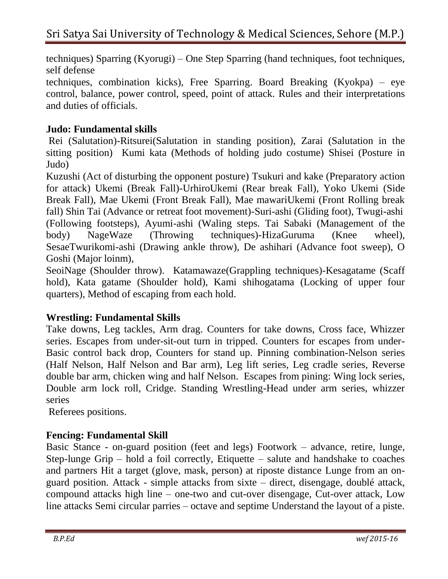techniques) Sparring (Kyorugi) – One Step Sparring (hand techniques, foot techniques, self defense

techniques, combination kicks), Free Sparring. Board Breaking (Kyokpa) – eye control, balance, power control, speed, point of attack. Rules and their interpretations and duties of officials.

# **Judo: Fundamental skills**

Rei (Salutation)-Ritsurei(Salutation in standing position), Zarai (Salutation in the sitting position) Kumi kata (Methods of holding judo costume) Shisei (Posture in Judo)

Kuzushi (Act of disturbing the opponent posture) Tsukuri and kake (Preparatory action for attack) Ukemi (Break Fall)-UrhiroUkemi (Rear break Fall), Yoko Ukemi (Side Break Fall), Mae Ukemi (Front Break Fall), Mae mawariUkemi (Front Rolling break fall) Shin Tai (Advance or retreat foot movement)-Suri-ashi (Gliding foot), Twugi-ashi (Following footsteps), Ayumi-ashi (Waling steps. Tai Sabaki (Management of the body) NageWaze (Throwing techniques)-HizaGuruma (Knee wheel), SesaeTwurikomi-ashi (Drawing ankle throw), De ashihari (Advance foot sweep), O Goshi (Major loinm),

SeoiNage (Shoulder throw). Katamawaze(Grappling techniques)-Kesagatame (Scaff hold), Kata gatame (Shoulder hold), Kami shihogatama (Locking of upper four quarters), Method of escaping from each hold.

# **Wrestling: Fundamental Skills**

Take downs, Leg tackles, Arm drag. Counters for take downs, Cross face, Whizzer series. Escapes from under-sit-out turn in tripped. Counters for escapes from under-Basic control back drop, Counters for stand up. Pinning combination-Nelson series (Half Nelson, Half Nelson and Bar arm), Leg lift series, Leg cradle series, Reverse double bar arm, chicken wing and half Nelson. Escapes from pining: Wing lock series, Double arm lock roll, Cridge. Standing Wrestling-Head under arm series, whizzer series

Referees positions.

# **Fencing: Fundamental Skill**

Basic Stance - on-guard position (feet and legs) Footwork – advance, retire, lunge, Step-lunge Grip – hold a foil correctly, Etiquette – salute and handshake to coaches and partners Hit a target (glove, mask, person) at riposte distance Lunge from an onguard position. Attack - simple attacks from sixte – direct, disengage, doublé attack, compound attacks high line – one-two and cut-over disengage, Cut-over attack, Low line attacks Semi circular parries – octave and septime Understand the layout of a piste.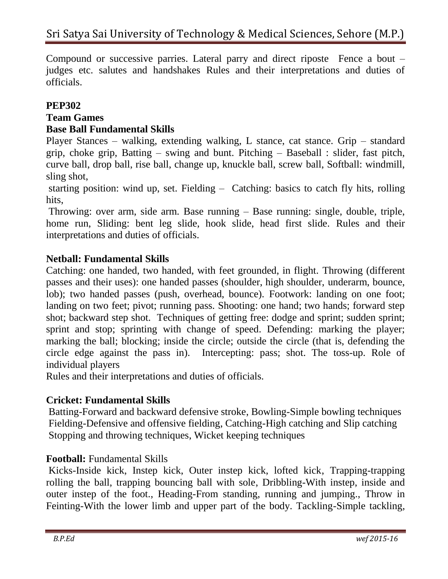Compound or successive parries. Lateral parry and direct riposte Fence a bout – judges etc. salutes and handshakes Rules and their interpretations and duties of officials.

## **PEP302**

# **Team Games**

## **Base Ball Fundamental Skills**

Player Stances – walking, extending walking, L stance, cat stance. Grip – standard grip, choke grip, Batting – swing and bunt. Pitching – Baseball : slider, fast pitch, curve ball, drop ball, rise ball, change up, knuckle ball, screw ball, Softball: windmill, sling shot,

starting position: wind up, set. Fielding – Catching: basics to catch fly hits, rolling hits,

Throwing: over arm, side arm. Base running – Base running: single, double, triple, home run, Sliding: bent leg slide, hook slide, head first slide. Rules and their interpretations and duties of officials.

## **Netball: Fundamental Skills**

Catching: one handed, two handed, with feet grounded, in flight. Throwing (different passes and their uses): one handed passes (shoulder, high shoulder, underarm, bounce, lob); two handed passes (push, overhead, bounce). Footwork: landing on one foot; landing on two feet; pivot; running pass. Shooting: one hand; two hands; forward step shot; backward step shot. Techniques of getting free: dodge and sprint; sudden sprint; sprint and stop; sprinting with change of speed. Defending: marking the player; marking the ball; blocking; inside the circle; outside the circle (that is, defending the circle edge against the pass in). Intercepting: pass; shot. The toss-up. Role of individual players

Rules and their interpretations and duties of officials.

## **Cricket: Fundamental Skills**

Batting-Forward and backward defensive stroke, Bowling-Simple bowling techniques Fielding-Defensive and offensive fielding, Catching-High catching and Slip catching Stopping and throwing techniques, Wicket keeping techniques

## **Football:** Fundamental Skills

Kicks-Inside kick, Instep kick, Outer instep kick, lofted kick, Trapping-trapping rolling the ball, trapping bouncing ball with sole, Dribbling-With instep, inside and outer instep of the foot., Heading-From standing, running and jumping., Throw in Feinting-With the lower limb and upper part of the body. Tackling-Simple tackling,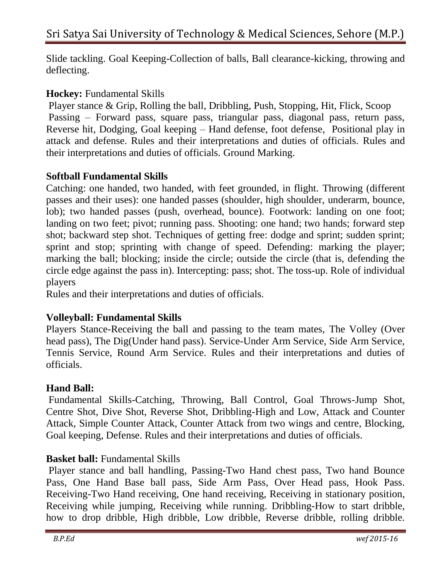Slide tackling. Goal Keeping-Collection of balls, Ball clearance-kicking, throwing and deflecting.

## **Hockey:** Fundamental Skills

Player stance & Grip, Rolling the ball, Dribbling, Push, Stopping, Hit, Flick, Scoop Passing – Forward pass, square pass, triangular pass, diagonal pass, return pass, Reverse hit, Dodging, Goal keeping – Hand defense, foot defense, Positional play in attack and defense. Rules and their interpretations and duties of officials. Rules and their interpretations and duties of officials. Ground Marking.

# **Softball Fundamental Skills**

Catching: one handed, two handed, with feet grounded, in flight. Throwing (different passes and their uses): one handed passes (shoulder, high shoulder, underarm, bounce, lob); two handed passes (push, overhead, bounce). Footwork: landing on one foot; landing on two feet; pivot; running pass. Shooting: one hand; two hands; forward step shot; backward step shot. Techniques of getting free: dodge and sprint; sudden sprint; sprint and stop; sprinting with change of speed. Defending: marking the player; marking the ball; blocking; inside the circle; outside the circle (that is, defending the circle edge against the pass in). Intercepting: pass; shot. The toss-up. Role of individual players

Rules and their interpretations and duties of officials.

# **Volleyball: Fundamental Skills**

Players Stance-Receiving the ball and passing to the team mates, The Volley (Over head pass), The Dig(Under hand pass). Service-Under Arm Service, Side Arm Service, Tennis Service, Round Arm Service. Rules and their interpretations and duties of officials.

## **Hand Ball:**

Fundamental Skills-Catching, Throwing, Ball Control, Goal Throws-Jump Shot, Centre Shot, Dive Shot, Reverse Shot, Dribbling-High and Low, Attack and Counter Attack, Simple Counter Attack, Counter Attack from two wings and centre, Blocking, Goal keeping, Defense. Rules and their interpretations and duties of officials.

# **Basket ball:** Fundamental Skills

Player stance and ball handling, Passing-Two Hand chest pass, Two hand Bounce Pass, One Hand Base ball pass, Side Arm Pass, Over Head pass, Hook Pass. Receiving-Two Hand receiving, One hand receiving, Receiving in stationary position, Receiving while jumping, Receiving while running. Dribbling-How to start dribble, how to drop dribble, High dribble, Low dribble, Reverse dribble, rolling dribble.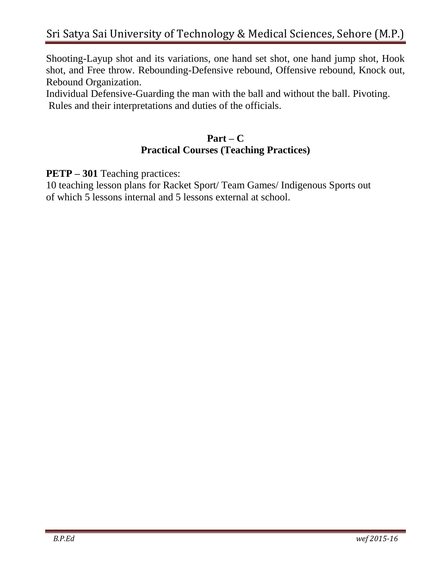Shooting-Layup shot and its variations, one hand set shot, one hand jump shot, Hook shot, and Free throw. Rebounding-Defensive rebound, Offensive rebound, Knock out, Rebound Organization.

Individual Defensive-Guarding the man with the ball and without the ball. Pivoting. Rules and their interpretations and duties of the officials.

## **Part – C Practical Courses (Teaching Practices)**

**PETP – 301** Teaching practices:

10 teaching lesson plans for Racket Sport/ Team Games/ Indigenous Sports out of which 5 lessons internal and 5 lessons external at school.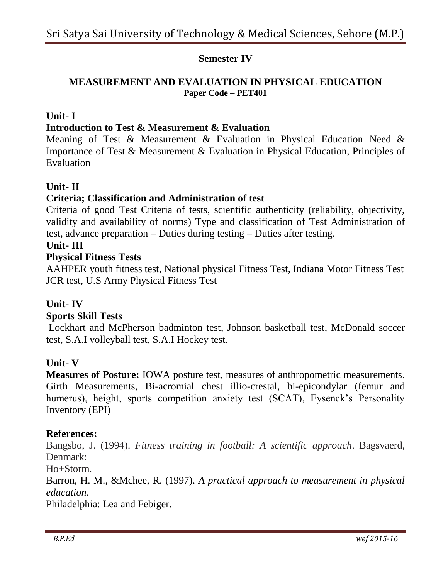## **Semester IV**

## **MEASUREMENT AND EVALUATION IN PHYSICAL EDUCATION Paper Code – PET401**

## **Unit- I**

#### **Introduction to Test & Measurement & Evaluation**

Meaning of Test & Measurement & Evaluation in Physical Education Need & Importance of Test & Measurement & Evaluation in Physical Education, Principles of Evaluation

#### **Unit- II**

#### **Criteria; Classification and Administration of test**

Criteria of good Test Criteria of tests, scientific authenticity (reliability, objectivity, validity and availability of norms) Type and classification of Test Administration of test, advance preparation – Duties during testing – Duties after testing.

#### **Unit- III**

#### **Physical Fitness Tests**

AAHPER youth fitness test, National physical Fitness Test, Indiana Motor Fitness Test JCR test, U.S Army Physical Fitness Test

#### **Unit- IV**

#### **Sports Skill Tests**

Lockhart and McPherson badminton test, Johnson basketball test, McDonald soccer test, S.A.I volleyball test, S.A.I Hockey test.

#### **Unit- V**

**Measures of Posture:** IOWA posture test, measures of anthropometric measurements, Girth Measurements, Bi-acromial chest illio-crestal, bi-epicondylar (femur and humerus), height, sports competition anxiety test (SCAT), Eysenck's Personality Inventory (EPI)

#### **References:**

Bangsbo, J. (1994). *Fitness training in football: A scientific approach*. Bagsvaerd, Denmark:

Ho+Storm.

Barron, H. M., &Mchee, R. (1997). *A practical approach to measurement in physical education*.

Philadelphia: Lea and Febiger.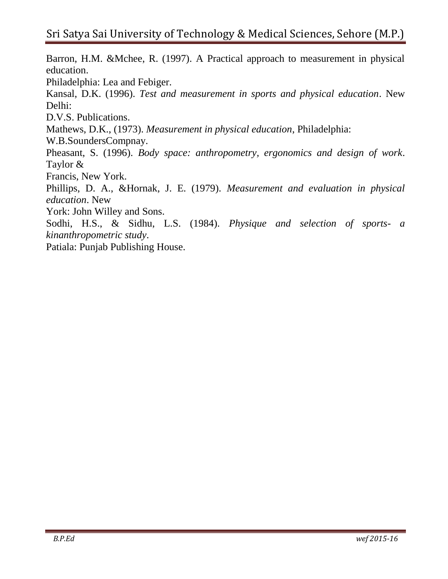Barron, H.M. &Mchee, R. (1997). A Practical approach to measurement in physical education. Philadelphia: Lea and Febiger. Kansal, D.K. (1996). *Test and measurement in sports and physical education*. New Delhi: D.V.S. Publications. Mathews, D.K., (1973). *Measurement in physical education*, Philadelphia: W.B.SoundersCompnay. Pheasant, S. (1996). *Body space: anthropometry, ergonomics and design of work*. Taylor & Francis, New York. Phillips, D. A., &Hornak, J. E. (1979). *Measurement and evaluation in physical education*. New York: John Willey and Sons. Sodhi, H.S., & Sidhu, L.S. (1984). *Physique and selection of sports- a kinanthropometric study*. Patiala: Punjab Publishing House.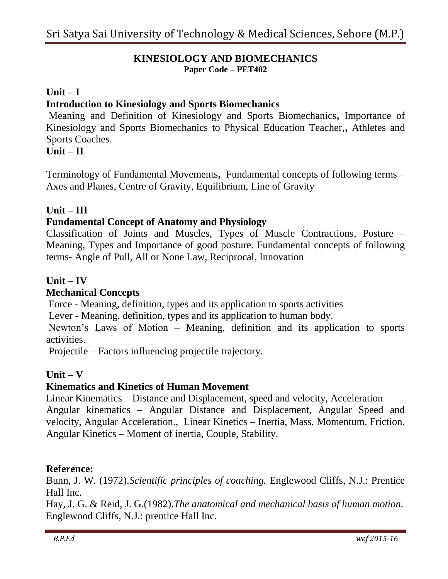#### **KINESIOLOGY AND BIOMECHANICS Paper Code – PET402**

### **Unit – I**

### **Introduction to Kinesiology and Sports Biomechanics**

Meaning and Definition of Kinesiology and Sports Biomechanics**,** Importance of Kinesiology and Sports Biomechanics to Physical Education Teacher,**,** Athletes and Sports Coaches.

#### **Unit – II**

Terminology of Fundamental Movements**,** Fundamental concepts of following terms – Axes and Planes, Centre of Gravity, Equilibrium, Line of Gravity

#### **Unit – III**

## **Fundamental Concept of Anatomy and Physiology**

Classification of Joints and Muscles, Types of Muscle Contractions, Posture – Meaning, Types and Importance of good posture. Fundamental concepts of following terms- Angle of Pull, All or None Law, Reciprocal, Innovation

#### **Unit – IV**

#### **Mechanical Concepts**

Force - Meaning, definition, types and its application to sports activities

Lever - Meaning, definition, types and its application to human body.

Newton's Laws of Motion – Meaning, definition and its application to sports activities.

Projectile – Factors influencing projectile trajectory.

#### **Unit – V**

#### **Kinematics and Kinetics of Human Movement**

Linear Kinematics – Distance and Displacement, speed and velocity, Acceleration Angular kinematics – Angular Distance and Displacement, Angular Speed and velocity, Angular Acceleration., Linear Kinetics – Inertia, Mass, Momentum, Friction. Angular Kinetics – Moment of inertia, Couple, Stability.

#### **Reference:**

Bunn, J. W. (1972).*Scientific principles of coaching.* Englewood Cliffs, N.J.: Prentice Hall Inc.

Hay, J. G. & Reid, J. G.(1982).*The anatomical and mechanical basis of human motion.* Englewood Cliffs, N.J.: prentice Hall Inc.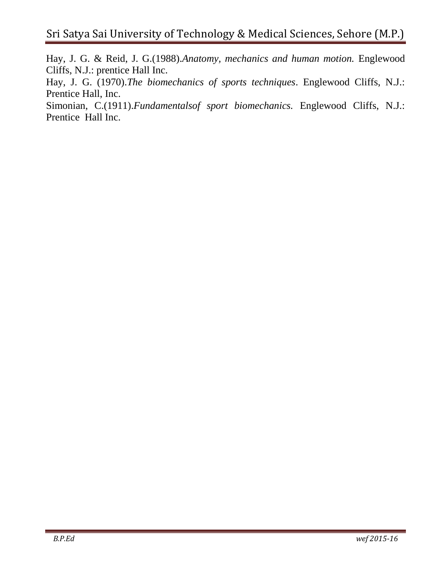Hay, J. G. & Reid, J. G.(1988).*Anatomy, mechanics and human motion.* Englewood Cliffs, N.J.: prentice Hall Inc.

Hay, J. G. (1970).*The biomechanics of sports techniques*. Englewood Cliffs, N.J.: Prentice Hall, Inc.

Simonian, C.(1911).*Fundamentalsof sport biomechanics.* Englewood Cliffs, N.J.: Prentice Hall Inc.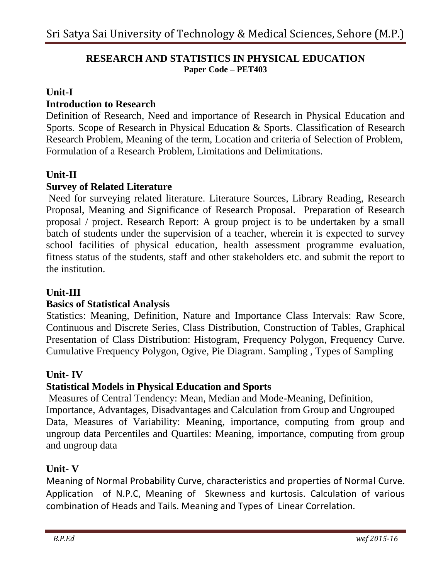#### **RESEARCH AND STATISTICS IN PHYSICAL EDUCATION Paper Code – PET403**

#### **Unit-I**

## **Introduction to Research**

Definition of Research, Need and importance of Research in Physical Education and Sports. Scope of Research in Physical Education & Sports. Classification of Research Research Problem, Meaning of the term, Location and criteria of Selection of Problem, Formulation of a Research Problem, Limitations and Delimitations.

## **Unit-II**

## **Survey of Related Literature**

Need for surveying related literature. Literature Sources, Library Reading, Research Proposal, Meaning and Significance of Research Proposal. Preparation of Research proposal / project. Research Report: A group project is to be undertaken by a small batch of students under the supervision of a teacher, wherein it is expected to survey school facilities of physical education, health assessment programme evaluation, fitness status of the students, staff and other stakeholders etc. and submit the report to the institution.

### **Unit-III**

#### **Basics of Statistical Analysis**

Statistics: Meaning, Definition, Nature and Importance Class Intervals: Raw Score, Continuous and Discrete Series, Class Distribution, Construction of Tables, Graphical Presentation of Class Distribution: Histogram, Frequency Polygon, Frequency Curve. Cumulative Frequency Polygon, Ogive, Pie Diagram. Sampling , Types of Sampling

#### **Unit- IV**

## **Statistical Models in Physical Education and Sports**

Measures of Central Tendency: Mean, Median and Mode-Meaning, Definition, Importance, Advantages, Disadvantages and Calculation from Group and Ungrouped Data, Measures of Variability: Meaning, importance, computing from group and ungroup data Percentiles and Quartiles: Meaning, importance, computing from group and ungroup data

## **Unit- V**

Meaning of Normal Probability Curve, characteristics and properties of Normal Curve. Application of N.P.C, Meaning of Skewness and kurtosis. Calculation of various combination of Heads and Tails. Meaning and Types of Linear Correlation.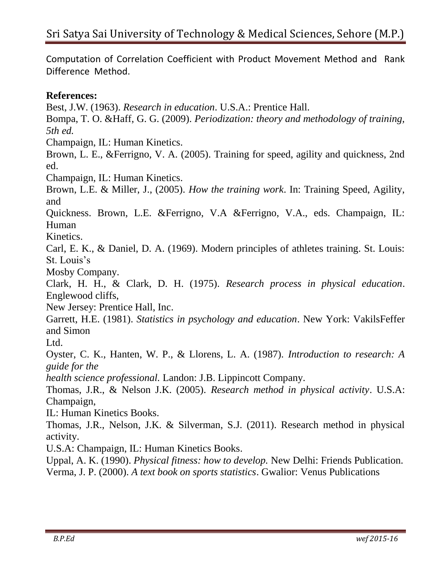Computation of Correlation Coefficient with Product Movement Method and Rank Difference Method.

## **References:**

Best, J.W. (1963). *Research in education*. U.S.A.: Prentice Hall.

Bompa, T. O. &Haff, G. G. (2009). *Periodization: theory and methodology of training, 5th ed.*

Champaign, IL: Human Kinetics.

Brown, L. E., &Ferrigno, V. A. (2005). Training for speed, agility and quickness, 2nd ed.

Champaign, IL: Human Kinetics.

Brown, L.E. & Miller, J., (2005). *How the training work*. In: Training Speed, Agility, and

Quickness. Brown, L.E. &Ferrigno, V.A &Ferrigno, V.A., eds. Champaign, IL: Human

Kinetics.

Carl, E. K., & Daniel, D. A. (1969). Modern principles of athletes training. St. Louis: St. Louis's

Mosby Company.

Clark, H. H., & Clark, D. H. (1975). *Research process in physical education*. Englewood cliffs,

New Jersey: Prentice Hall, Inc.

Garrett, H.E. (1981). *Statistics in psychology and education*. New York: VakilsFeffer and Simon

L<sub>td</sub>

Oyster, C. K., Hanten, W. P., & Llorens, L. A. (1987). *Introduction to research: A guide for the*

*health science professional.* Landon: J.B. Lippincott Company.

Thomas, J.R., & Nelson J.K. (2005). *Research method in physical activity*. U.S.A: Champaign,

IL: Human Kinetics Books.

Thomas, J.R., Nelson, J.K. & Silverman, S.J. (2011). Research method in physical activity.

U.S.A: Champaign, IL: Human Kinetics Books.

Uppal, A. K. (1990). *Physical fitness: how to develop.* New Delhi: Friends Publication. Verma, J. P. (2000). *A text book on sports statistics*. Gwalior: Venus Publications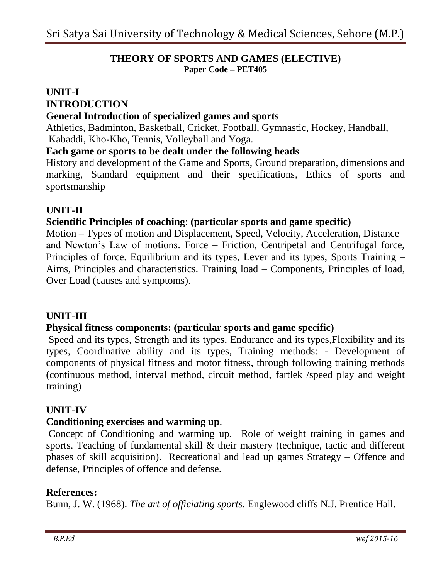#### **THEORY OF SPORTS AND GAMES (ELECTIVE) Paper Code – PET405**

# **UNIT-I INTRODUCTION**

#### **General Introduction of specialized games and sports–**

Athletics, Badminton, Basketball, Cricket, Football, Gymnastic, Hockey, Handball, Kabaddi, Kho-Kho, Tennis, Volleyball and Yoga.

#### **Each game or sports to be dealt under the following heads**

History and development of the Game and Sports, Ground preparation, dimensions and marking, Standard equipment and their specifications, Ethics of sports and sportsmanship

## **UNIT-II**

## **Scientific Principles of coaching**: **(particular sports and game specific)**

Motion – Types of motion and Displacement, Speed, Velocity, Acceleration, Distance and Newton's Law of motions. Force – Friction, Centripetal and Centrifugal force, Principles of force. Equilibrium and its types, Lever and its types, Sports Training – Aims, Principles and characteristics. Training load – Components, Principles of load, Over Load (causes and symptoms).

#### **UNIT-III**

#### **Physical fitness components: (particular sports and game specific)**

Speed and its types, Strength and its types, Endurance and its types,Flexibility and its types, Coordinative ability and its types, Training methods: - Development of components of physical fitness and motor fitness, through following training methods (continuous method, interval method, circuit method, fartlek /speed play and weight training)

## **UNIT-IV**

#### **Conditioning exercises and warming up**.

Concept of Conditioning and warming up. Role of weight training in games and sports. Teaching of fundamental skill & their mastery (technique, tactic and different phases of skill acquisition). Recreational and lead up games Strategy – Offence and defense, Principles of offence and defense.

## **References:**

Bunn, J. W. (1968). *The art of officiating sports*. Englewood cliffs N.J. Prentice Hall.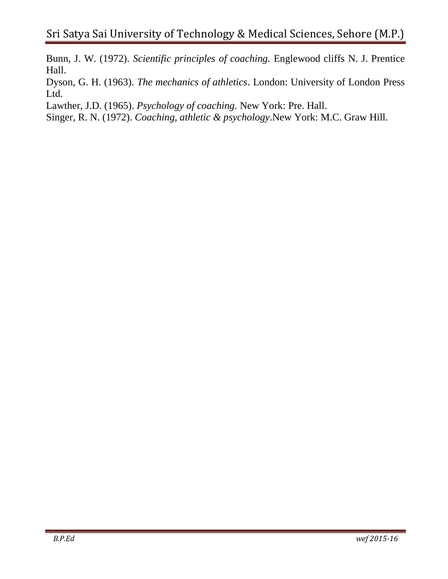Bunn, J. W. (1972). *Scientific principles of coaching.* Englewood cliffs N. J. Prentice Hall.

Dyson, G. H. (1963). *The mechanics of athletics*. London: University of London Press Ltd.

Lawther, J.D. (1965). *Psychology of coaching.* New York: Pre. Hall.

Singer, R. N. (1972). *Coaching, athletic & psychology*.New York: M.C. Graw Hill.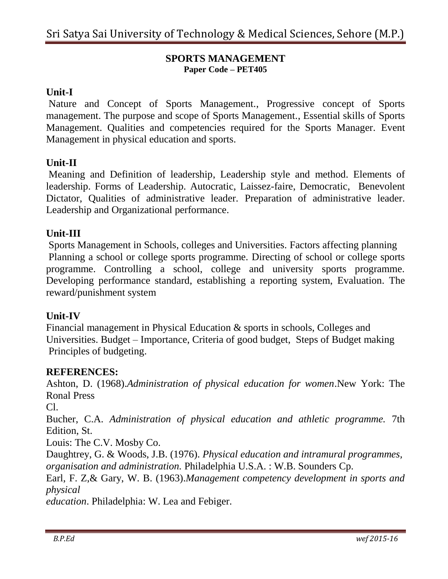#### **SPORTS MANAGEMENT Paper Code – PET405**

## **Unit-I**

Nature and Concept of Sports Management., Progressive concept of Sports management. The purpose and scope of Sports Management., Essential skills of Sports Management. Qualities and competencies required for the Sports Manager. Event Management in physical education and sports.

## **Unit-II**

Meaning and Definition of leadership, Leadership style and method. Elements of leadership. Forms of Leadership. Autocratic, Laissez-faire, Democratic, Benevolent Dictator, Qualities of administrative leader. Preparation of administrative leader. Leadership and Organizational performance.

## **Unit-III**

Sports Management in Schools, colleges and Universities. Factors affecting planning Planning a school or college sports programme. Directing of school or college sports programme. Controlling a school, college and university sports programme. Developing performance standard, establishing a reporting system, Evaluation. The reward/punishment system

#### **Unit-IV**

Financial management in Physical Education & sports in schools, Colleges and Universities. Budget – Importance, Criteria of good budget, Steps of Budget making Principles of budgeting.

#### **REFERENCES:**

Ashton, D. (1968).*Administration of physical education for women*.New York: The Ronal Press

Cl.

Bucher, C.A. *Administration of physical education and athletic programme.* 7th Edition, St.

Louis: The C.V. Mosby Co.

Daughtrey, G. & Woods, J.B. (1976). *Physical education and intramural programmes, organisation and administration.* Philadelphia U.S.A. : W.B. Sounders Cp.

Earl, F. Z,& Gary, W. B. (1963).*Management competency development in sports and physical*

*education*. Philadelphia: W. Lea and Febiger.